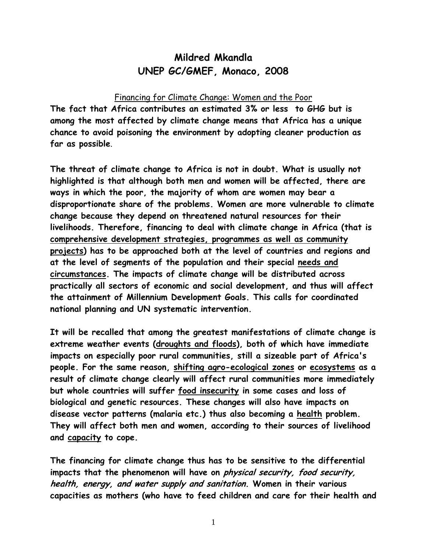# **Mildred Mkandla UNEP GC/GMEF, Monaco, 2008**

#### Financing for Climate Change: Women and the Poor

**The fact that Africa contributes an estimated 3% or less to GHG but is among the most affected by climate change means that Africa has a unique chance to avoid poisoning the environment by adopting cleaner production as far as possible**.

**The threat of climate change to Africa is not in doubt. What is usually not highlighted is that although both men and women will be affected, there are ways in which the poor, the majority of whom are women may bear a disproportionate share of the problems. Women are more vulnerable to climate change because they depend on threatened natural resources for their livelihoods. Therefore, financing to deal with climate change in Africa (that is comprehensive development strategies, programmes as well as community projects) has to be approached both at the level of countries and regions and at the level of segments of the population and their special needs and circumstances. The impacts of climate change will be distributed across practically all sectors of economic and social development, and thus will affect the attainment of Millennium Development Goals. This calls for coordinated national planning and UN systematic intervention.** 

**It will be recalled that among the greatest manifestations of climate change is extreme weather events (droughts and floods), both of which have immediate impacts on especially poor rural communities, still a sizeable part of Africa's people. For the same reason, shifting agro-ecological zones or ecosystems as a result of climate change clearly will affect rural communities more immediately but whole countries will suffer food insecurity in some cases and loss of biological and genetic resources. These changes will also have impacts on disease vector patterns (malaria etc.) thus also becoming a health problem. They will affect both men and women, according to their sources of livelihood and capacity to cope.** 

**The financing for climate change thus has to be sensitive to the differential impacts that the phenomenon will have on physical security, food security, health, energy, and water supply and sanitation. Women in their various capacities as mothers (who have to feed children and care for their health and**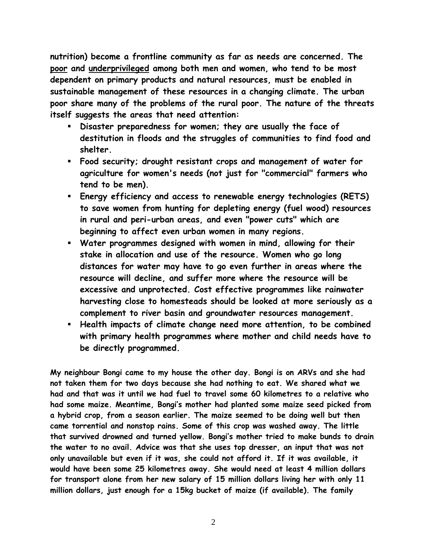**nutrition) become a frontline community as far as needs are concerned. The poor and underprivileged among both men and women, who tend to be most dependent on primary products and natural resources, must be enabled in sustainable management of these resources in a changing climate. The urban poor share many of the problems of the rural poor. The nature of the threats itself suggests the areas that need attention:** 

- **Disaster preparedness for women; they are usually the face of destitution in floods and the struggles of communities to find food and shelter.**
- **Food security; drought resistant crops and management of water for agriculture for women's needs (not just for "commercial" farmers who tend to be men).**
- **Energy efficiency and access to renewable energy technologies (RETS) to save women from hunting for depleting energy (fuel wood) resources in rural and peri-urban areas, and even "power cuts" which are beginning to affect even urban women in many regions.**
- **Water programmes designed with women in mind, allowing for their stake in allocation and use of the resource. Women who go long distances for water may have to go even further in areas where the resource will decline, and suffer more where the resource will be excessive and unprotected. Cost effective programmes like rainwater harvesting close to homesteads should be looked at more seriously as a complement to river basin and groundwater resources management.**
- **Health impacts of climate change need more attention, to be combined with primary health programmes where mother and child needs have to be directly programmed.**

**My neighbour Bongi came to my house the other day. Bongi is on ARVs and she had not taken them for two days because she had nothing to eat. We shared what we had and that was it until we had fuel to travel some 60 kilometres to a relative who had some maize. Meantime, Bongi's mother had planted some maize seed picked from a hybrid crop, from a season earlier. The maize seemed to be doing well but then came torrential and nonstop rains. Some of this crop was washed away. The little that survived drowned and turned yellow. Bongi's mother tried to make bunds to drain the water to no avail. Advice was that she uses top dresser, an input that was not only unavailable but even if it was, she could not afford it. If it was available, it would have been some 25 kilometres away. She would need at least 4 million dollars for transport alone from her new salary of 15 million dollars living her with only 11 million dollars, just enough for a 15kg bucket of maize (if available). The family**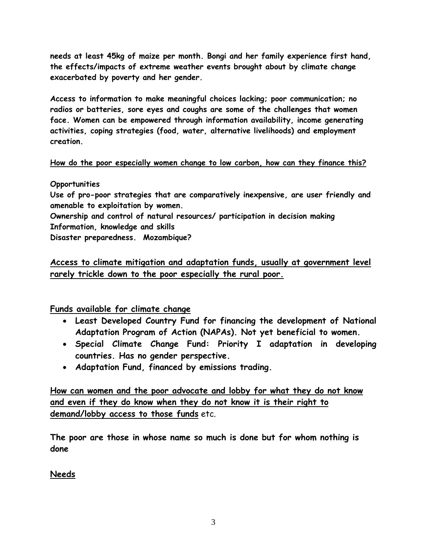**needs at least 45kg of maize per month. Bongi and her family experience first hand, the effects/impacts of extreme weather events brought about by climate change exacerbated by poverty and her gender.** 

**Access to information to make meaningful choices lacking; poor communication; no radios or batteries, sore eyes and coughs are some of the challenges that women face. Women can be empowered through information availability, income generating activities, coping strategies (food, water, alternative livelihoods) and employment creation.** 

### **How do the poor especially women change to low carbon, how can they finance this?**

### **Opportunities**

**Use of pro-poor strategies that are comparatively inexpensive, are user friendly and amenable to exploitation by women.**

**Ownership and control of natural resources/ participation in decision making Information, knowledge and skills** 

**Disaster preparedness. Mozambique?**

# **Access to climate mitigation and adaptation funds, usually at government level rarely trickle down to the poor especially the rural poor.**

**Funds available for climate change**

- **Least Developed Country Fund for financing the development of National Adaptation Program of Action (NAPAs). Not yet beneficial to women.**
- **Special Climate Change Fund: Priority I adaptation in developing countries. Has no gender perspective.**
- **Adaptation Fund, financed by emissions trading.**

**How can women and the poor advocate and lobby for what they do not know and even if they do know when they do not know it is their right to demand/lobby access to those funds** etc.

**The poor are those in whose name so much is done but for whom nothing is done** 

## **Needs**